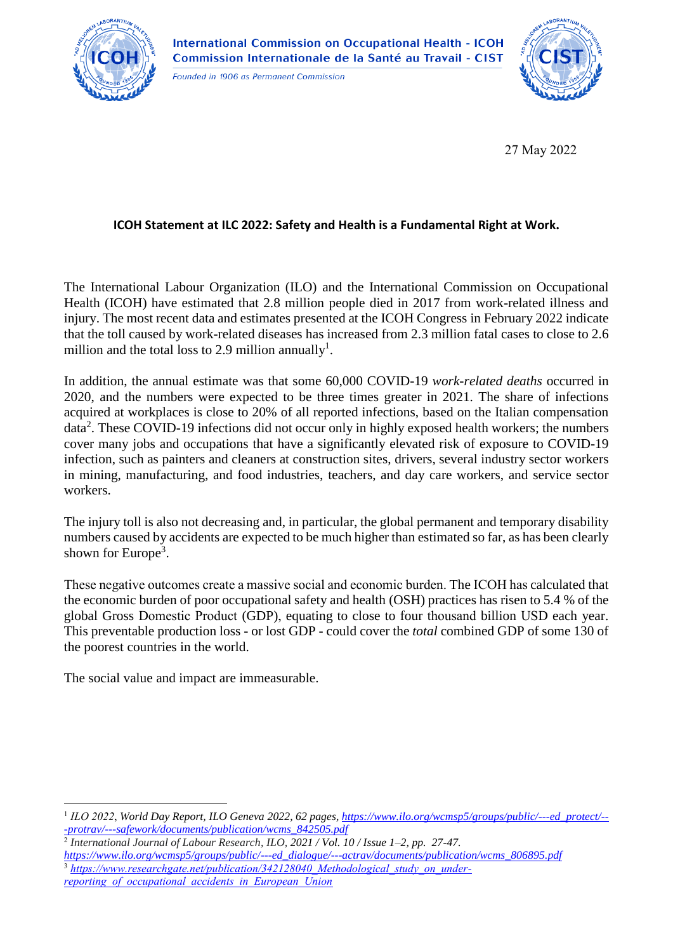

International Commission on Occupational Health - ICOH<br>Commission Internationale de la Santé au Travail - CIST

Founded in 1906 as Permanent Commission



27 May 2022

## **ICOH Statement at ILC 2022: Safety and Health is a Fundamental Right at Work.**

The International Labour Organization (ILO) and the International Commission on Occupational Health (ICOH) have estimated that 2.8 million people died in 2017 from work-related illness and injury. The most recent data and estimates presented at the ICOH Congress in February 2022 indicate that the toll caused by work-related diseases has increased from 2.3 million fatal cases to close to 2.6 million and the total loss to 2.9 million annually<sup>1</sup>.

In addition, the annual estimate was that some 60,000 COVID-19 *work-related deaths* occurred in 2020, and the numbers were expected to be three times greater in 2021. The share of infections acquired at workplaces is close to 20% of all reported infections, based on the Italian compensation data<sup>2</sup>. These COVID-19 infections did not occur only in highly exposed health workers; the numbers cover many jobs and occupations that have a significantly elevated risk of exposure to COVID-19 infection, such as painters and cleaners at construction sites, drivers, several industry sector workers in mining, manufacturing, and food industries, teachers, and day care workers, and service sector workers.

The injury toll is also not decreasing and, in particular, the global permanent and temporary disability numbers caused by accidents are expected to be much higher than estimated so far, as has been clearly shown for Europe<sup>3</sup>.

These negative outcomes create a massive social and economic burden. The ICOH has calculated that the economic burden of poor occupational safety and health (OSH) practices has risen to 5.4 % of the global Gross Domestic Product (GDP), equating to close to four thousand billion USD each year. This preventable production loss - or lost GDP - could cover the *total* combined GDP of some 130 of the poorest countries in the world.

The social value and impact are immeasurable.

1

<sup>1</sup> *ILO 2022*, *World Day Report, ILO Geneva 2022, 62 pages[, https://www.ilo.org/wcmsp5/groups/public/---ed\\_protect/--](https://www.ilo.org/wcmsp5/groups/public/---ed_protect/---protrav/---safework/documents/publication/wcms_842505.pdf) [-protrav/---safework/documents/publication/wcms\\_842505.pdf](https://www.ilo.org/wcmsp5/groups/public/---ed_protect/---protrav/---safework/documents/publication/wcms_842505.pdf)*

<sup>2</sup> *International Journal of Labour Research, ILO, 2021 / Vol. 10 / Issue 1–2, pp. 27-47.* 

*[https://www.ilo.org/wcmsp5/groups/public/---ed\\_dialogue/---actrav/documents/publication/wcms\\_806895.pdf](https://www.ilo.org/wcmsp5/groups/public/---ed_dialogue/---actrav/documents/publication/wcms_806895.pdf)* [https://www.researchgate.net/publication/342128040\\_Methodological\\_study\\_on\\_under](https://www.researchgate.net/publication/342128040_Methodological_study_on_under-reporting_of_occupational_accidents_in_European_Union)*[reporting\\_of\\_occupational\\_accidents\\_in\\_European\\_Union](https://www.researchgate.net/publication/342128040_Methodological_study_on_under-reporting_of_occupational_accidents_in_European_Union)*